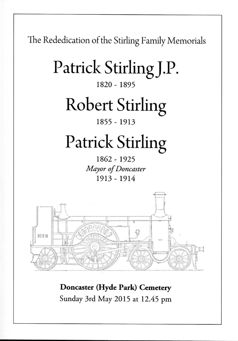The Rededication of the Stirling Family Memorials

# Patrick Stirling J.P.

#### **1820 - 1895**

## Robert Stirling

### **1855 - 1913**

## Patrick Stirling

**1862 - 1925**  *Mayor of Doncaster*  **1913 - 1914** 



### **Doncaster (Hyde Park) Cemetery Sunday 3rd May 2015 at 12.45 pm**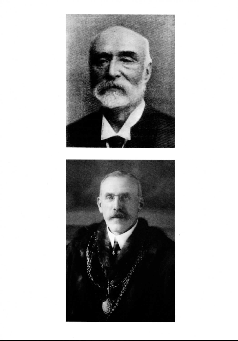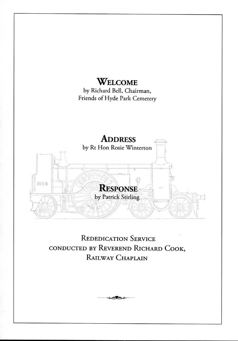

**REDEDICATION SERVICE CONDUCTED BY REVEREND RICHARD COOK, RAILWAY CHAPLAIN**